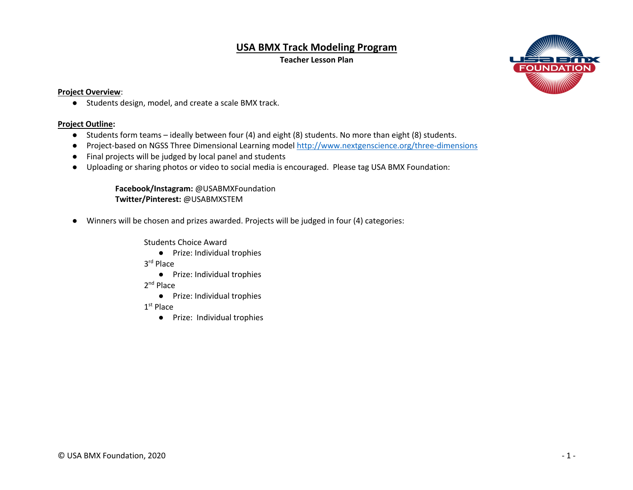## **USA BMX Track Modeling Program**

**Teacher Lesson Plan**



## **Project Overview**:

● Students design, model, and create a scale BMX track.

## **Project Outline:**

- Students form teams ideally between four (4) and eight (8) students. No more than eight (8) students.
- Project-based on NGSS Three Dimensional Learning model http://www.nextgenscience.org/three-dimensions
- Final projects will be judged by local panel and students
- Uploading or sharing photos or video to social media is encouraged. Please tag USA BMX Foundation:

**Facebook/Instagram:** @USABMXFoundation **Twitter/Pinterest:** @USABMXSTEM

● Winners will be chosen and prizes awarded. Projects will be judged in four (4) categories:

Students Choice Award

● Prize: Individual trophies

3rd Place

● Prize: Individual trophies

2<sup>nd</sup> Place

● Prize: Individual trophies

1<sup>st</sup> Place

● Prize: Individual trophies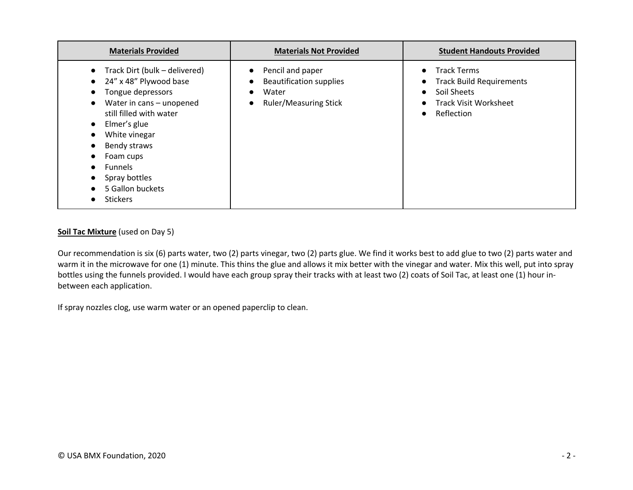| <b>Materials Provided</b>                                                                                                                                                                                                                                                                                                                                                                                                               | <b>Materials Not Provided</b>                                                               | <b>Student Handouts Provided</b>                                                                                                |
|-----------------------------------------------------------------------------------------------------------------------------------------------------------------------------------------------------------------------------------------------------------------------------------------------------------------------------------------------------------------------------------------------------------------------------------------|---------------------------------------------------------------------------------------------|---------------------------------------------------------------------------------------------------------------------------------|
| Track Dirt (bulk – delivered)<br>$\bullet$<br>24" x 48" Plywood base<br>$\bullet$<br>Tongue depressors<br>$\bullet$<br>Water in cans - unopened<br>$\bullet$<br>still filled with water<br>Elmer's glue<br>$\bullet$<br>White vinegar<br>$\bullet$<br>Bendy straws<br>$\bullet$<br>Foam cups<br>$\bullet$<br><b>Funnels</b><br>$\bullet$<br>Spray bottles<br>$\bullet$<br>5 Gallon buckets<br>$\bullet$<br><b>Stickers</b><br>$\bullet$ | Pencil and paper<br><b>Beautification supplies</b><br>Water<br><b>Ruler/Measuring Stick</b> | <b>Track Terms</b><br><b>Track Build Requirements</b><br>Soil Sheets<br><b>Track Visit Worksheet</b><br>Reflection<br>$\bullet$ |

## **Soil Tac Mixture** (used on Day 5)

Our recommendation is six (6) parts water, two (2) parts vinegar, two (2) parts glue. We find it works best to add glue to two (2) parts water and warm it in the microwave for one (1) minute. This thins the glue and allows it mix better with the vinegar and water. Mix this well, put into spray bottles using the funnels provided. I would have each group spray their tracks with at least two (2) coats of Soil Tac, at least one (1) hour inbetween each application.

If spray nozzles clog, use warm water or an opened paperclip to clean.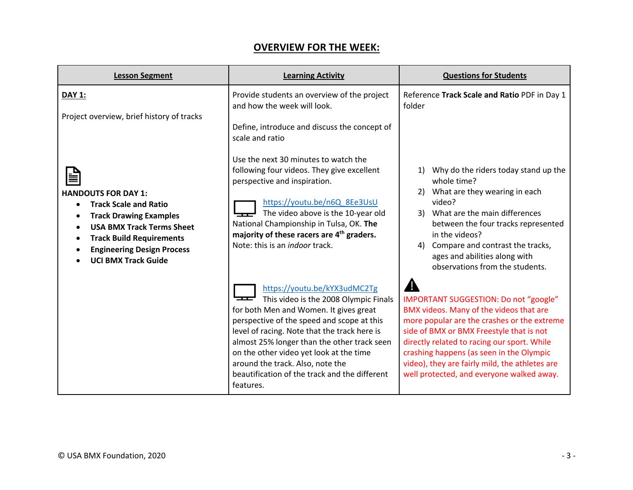| <b>OVERVIEW FOR THE WEEK:</b> |
|-------------------------------|
|-------------------------------|

| <b>Lesson Segment</b>                                                                                                                                                                                                                                   | <b>Learning Activity</b>                                                                                                                                                                                                                                                                                                                                                                                  | <b>Questions for Students</b>                                                                                                                                                                                                                                                                                                                                         |
|---------------------------------------------------------------------------------------------------------------------------------------------------------------------------------------------------------------------------------------------------------|-----------------------------------------------------------------------------------------------------------------------------------------------------------------------------------------------------------------------------------------------------------------------------------------------------------------------------------------------------------------------------------------------------------|-----------------------------------------------------------------------------------------------------------------------------------------------------------------------------------------------------------------------------------------------------------------------------------------------------------------------------------------------------------------------|
| <b>DAY 1:</b><br>Project overview, brief history of tracks                                                                                                                                                                                              | Provide students an overview of the project<br>and how the week will look.<br>Define, introduce and discuss the concept of                                                                                                                                                                                                                                                                                | Reference Track Scale and Ratio PDF in Day 1<br>folder                                                                                                                                                                                                                                                                                                                |
| <b>HANDOUTS FOR DAY 1:</b><br><b>Track Scale and Ratio</b><br><b>Track Drawing Examples</b><br>$\bullet$<br><b>USA BMX Track Terms Sheet</b><br><b>Track Build Requirements</b><br>٠<br><b>Engineering Design Process</b><br><b>UCI BMX Track Guide</b> | scale and ratio<br>Use the next 30 minutes to watch the<br>following four videos. They give excellent<br>perspective and inspiration.<br>https://youtu.be/n6Q 8Ee3UsU<br>The video above is the 10-year old<br>╼┯╾<br>National Championship in Tulsa, OK. The<br>majority of these racers are 4 <sup>th</sup> graders.<br>Note: this is an <i>indoor</i> track.                                           | Why do the riders today stand up the<br>1)<br>whole time?<br>2) What are they wearing in each<br>video?<br>What are the main differences<br>3)<br>between the four tracks represented<br>in the videos?<br>Compare and contrast the tracks,<br>4)<br>ages and abilities along with<br>observations from the students.                                                 |
|                                                                                                                                                                                                                                                         | https://youtu.be/kYX3udMC2Tg<br>This video is the 2008 Olympic Finals<br>for both Men and Women. It gives great<br>perspective of the speed and scope at this<br>level of racing. Note that the track here is<br>almost 25% longer than the other track seen<br>on the other video yet look at the time<br>around the track. Also, note the<br>beautification of the track and the different<br>features. | IMPORTANT SUGGESTION: Do not "google"<br>BMX videos. Many of the videos that are<br>more popular are the crashes or the extreme<br>side of BMX or BMX Freestyle that is not<br>directly related to racing our sport. While<br>crashing happens (as seen in the Olympic<br>video), they are fairly mild, the athletes are<br>well protected, and everyone walked away. |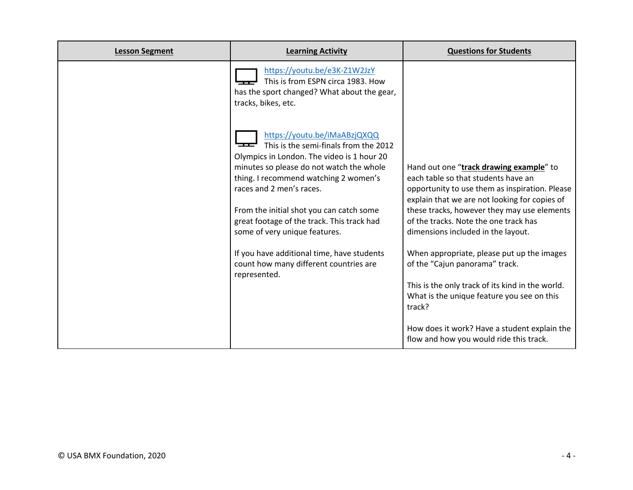| <b>Lesson Segment</b> | <b>Learning Activity</b>                                                                                                                                        | <b>Questions for Students</b>                                                                                                          |
|-----------------------|-----------------------------------------------------------------------------------------------------------------------------------------------------------------|----------------------------------------------------------------------------------------------------------------------------------------|
|                       | https://youtu.be/e3K-Z1W2JzY<br>This is from ESPN circa 1983. How<br>has the sport changed? What about the gear,<br>tracks, bikes, etc.                         |                                                                                                                                        |
|                       | https://youtu.be/iMaABzjQXQQ<br>This is the semi-finals from the 2012<br>Olympics in London. The video is 1 hour 20<br>minutes so please do not watch the whole | Hand out one "track drawing example" to                                                                                                |
|                       | thing. I recommend watching 2 women's<br>races and 2 men's races.                                                                                               | each table so that students have an<br>opportunity to use them as inspiration. Please<br>explain that we are not looking for copies of |
|                       | From the initial shot you can catch some<br>great footage of the track. This track had<br>some of very unique features.                                         | these tracks, however they may use elements<br>of the tracks. Note the one track has<br>dimensions included in the layout.             |
|                       | If you have additional time, have students<br>count how many different countries are<br>represented.                                                            | When appropriate, please put up the images<br>of the "Cajun panorama" track.                                                           |
|                       |                                                                                                                                                                 | This is the only track of its kind in the world.<br>What is the unique feature you see on this<br>track?                               |
|                       |                                                                                                                                                                 | How does it work? Have a student explain the<br>flow and how you would ride this track.                                                |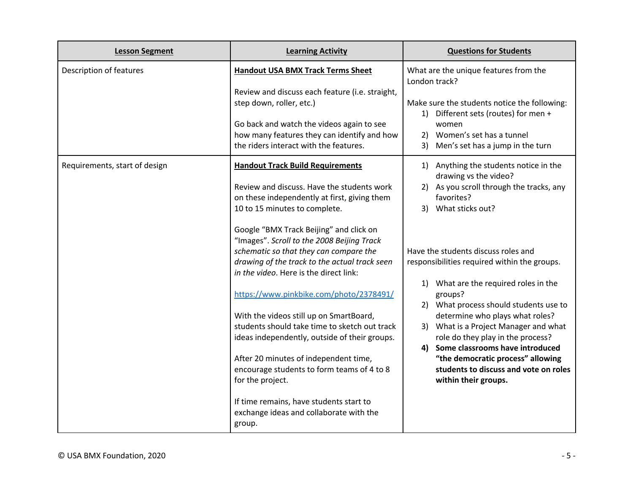| <b>Lesson Segment</b>         | <b>Learning Activity</b>                                                                                                          | <b>Questions for Students</b>                                                                                      |
|-------------------------------|-----------------------------------------------------------------------------------------------------------------------------------|--------------------------------------------------------------------------------------------------------------------|
| Description of features       | <b>Handout USA BMX Track Terms Sheet</b><br>Review and discuss each feature (i.e. straight,                                       | What are the unique features from the<br>London track?                                                             |
|                               | step down, roller, etc.)<br>Go back and watch the videos again to see                                                             | Make sure the students notice the following:<br>1) Different sets (routes) for men +<br>women                      |
|                               | how many features they can identify and how<br>the riders interact with the features.                                             | 2) Women's set has a tunnel<br>3) Men's set has a jump in the turn                                                 |
| Requirements, start of design | <b>Handout Track Build Requirements</b>                                                                                           | 1) Anything the students notice in the<br>drawing vs the video?                                                    |
|                               | Review and discuss. Have the students work<br>on these independently at first, giving them<br>10 to 15 minutes to complete.       | 2) As you scroll through the tracks, any<br>favorites?<br>What sticks out?<br>3)                                   |
|                               | Google "BMX Track Beijing" and click on<br>"Images". Scroll to the 2008 Beijing Track                                             |                                                                                                                    |
|                               | schematic so that they can compare the<br>drawing of the track to the actual track seen<br>in the video. Here is the direct link: | Have the students discuss roles and<br>responsibilities required within the groups.                                |
|                               | https://www.pinkbike.com/photo/2378491/                                                                                           | 1) What are the required roles in the<br>groups?                                                                   |
|                               | With the videos still up on SmartBoard,<br>students should take time to sketch out track                                          | 2) What process should students use to<br>determine who plays what roles?<br>3) What is a Project Manager and what |
|                               | ideas independently, outside of their groups.                                                                                     | role do they play in the process?<br>Some classrooms have introduced<br>4)                                         |
|                               | After 20 minutes of independent time,<br>encourage students to form teams of 4 to 8<br>for the project.                           | "the democratic process" allowing<br>students to discuss and vote on roles<br>within their groups.                 |
|                               | If time remains, have students start to<br>exchange ideas and collaborate with the<br>group.                                      |                                                                                                                    |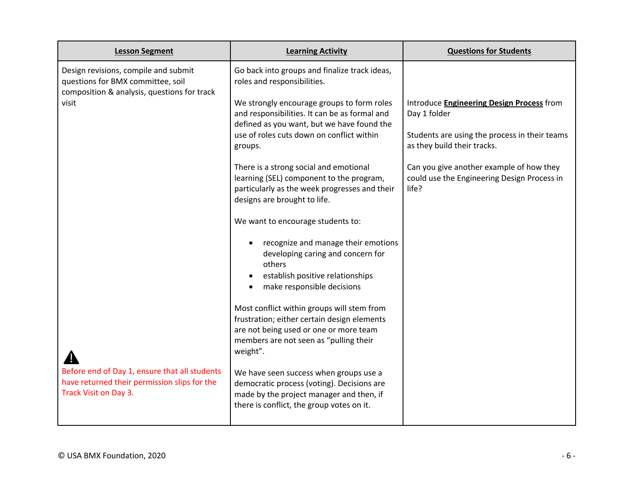| <b>Lesson Segment</b>                                                                                                    | <b>Learning Activity</b>                                                                                                                                                                  | <b>Questions for Students</b>                                                                    |
|--------------------------------------------------------------------------------------------------------------------------|-------------------------------------------------------------------------------------------------------------------------------------------------------------------------------------------|--------------------------------------------------------------------------------------------------|
| Design revisions, compile and submit<br>questions for BMX committee, soil<br>composition & analysis, questions for track | Go back into groups and finalize track ideas,<br>roles and responsibilities.                                                                                                              |                                                                                                  |
| visit                                                                                                                    | We strongly encourage groups to form roles<br>and responsibilities. It can be as formal and<br>defined as you want, but we have found the                                                 | Introduce <b>Engineering Design Process</b> from<br>Day 1 folder                                 |
|                                                                                                                          | use of roles cuts down on conflict within<br>groups.                                                                                                                                      | Students are using the process in their teams<br>as they build their tracks.                     |
|                                                                                                                          | There is a strong social and emotional<br>learning (SEL) component to the program,<br>particularly as the week progresses and their<br>designs are brought to life.                       | Can you give another example of how they<br>could use the Engineering Design Process in<br>life? |
|                                                                                                                          | We want to encourage students to:                                                                                                                                                         |                                                                                                  |
|                                                                                                                          | recognize and manage their emotions<br>developing caring and concern for<br>others<br>establish positive relationships<br>make responsible decisions                                      |                                                                                                  |
|                                                                                                                          | Most conflict within groups will stem from<br>frustration; either certain design elements<br>are not being used or one or more team<br>members are not seen as "pulling their<br>weight". |                                                                                                  |
| Before end of Day 1, ensure that all students<br>have returned their permission slips for the<br>Track Visit on Day 3.   | We have seen success when groups use a<br>democratic process (voting). Decisions are<br>made by the project manager and then, if<br>there is conflict, the group votes on it.             |                                                                                                  |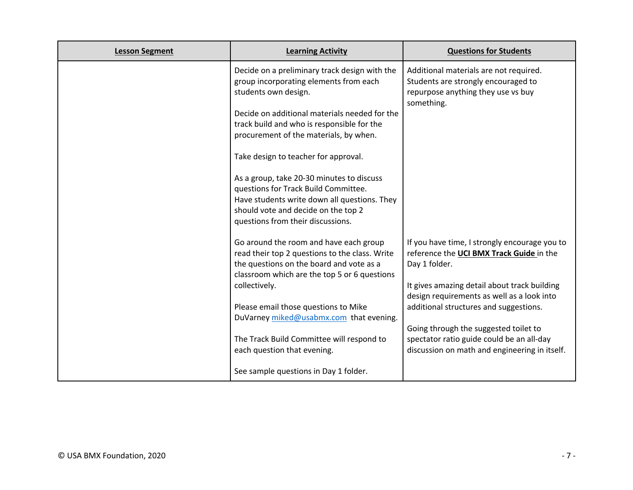| <b>Lesson Segment</b> | <b>Learning Activity</b>                                                                                                                                         | <b>Questions for Students</b>                                                                                                     |
|-----------------------|------------------------------------------------------------------------------------------------------------------------------------------------------------------|-----------------------------------------------------------------------------------------------------------------------------------|
|                       | Decide on a preliminary track design with the<br>group incorporating elements from each<br>students own design.<br>Decide on additional materials needed for the | Additional materials are not required.<br>Students are strongly encouraged to<br>repurpose anything they use vs buy<br>something. |
|                       | track build and who is responsible for the                                                                                                                       |                                                                                                                                   |
|                       | procurement of the materials, by when.                                                                                                                           |                                                                                                                                   |
|                       | Take design to teacher for approval.                                                                                                                             |                                                                                                                                   |
|                       | As a group, take 20-30 minutes to discuss                                                                                                                        |                                                                                                                                   |
|                       | questions for Track Build Committee.                                                                                                                             |                                                                                                                                   |
|                       | Have students write down all questions. They                                                                                                                     |                                                                                                                                   |
|                       | should vote and decide on the top 2                                                                                                                              |                                                                                                                                   |
|                       | questions from their discussions.                                                                                                                                |                                                                                                                                   |
|                       | Go around the room and have each group                                                                                                                           | If you have time, I strongly encourage you to                                                                                     |
|                       | read their top 2 questions to the class. Write                                                                                                                   | reference the UCI BMX Track Guide in the                                                                                          |
|                       | the questions on the board and vote as a                                                                                                                         | Day 1 folder.                                                                                                                     |
|                       | classroom which are the top 5 or 6 questions                                                                                                                     |                                                                                                                                   |
|                       | collectively.                                                                                                                                                    | It gives amazing detail about track building<br>design requirements as well as a look into                                        |
|                       | Please email those questions to Mike                                                                                                                             | additional structures and suggestions.                                                                                            |
|                       | DuVarney miked@usabmx.com that evening.                                                                                                                          |                                                                                                                                   |
|                       |                                                                                                                                                                  | Going through the suggested toilet to                                                                                             |
|                       | The Track Build Committee will respond to                                                                                                                        | spectator ratio guide could be an all-day                                                                                         |
|                       | each question that evening.                                                                                                                                      | discussion on math and engineering in itself.                                                                                     |
|                       | See sample questions in Day 1 folder.                                                                                                                            |                                                                                                                                   |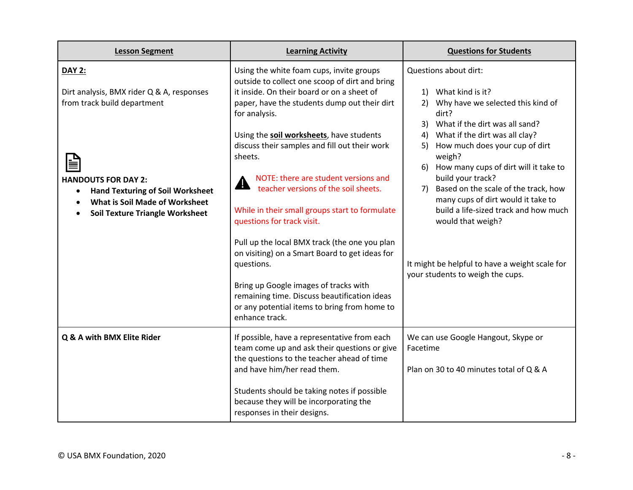| <b>Lesson Segment</b>                                                                                                                                                                                                                                       | <b>Learning Activity</b>                                                                                                                                                                                                                                                                                                                                                                                                                                                                                                                                                                                                                                                                                                                                     | <b>Questions for Students</b>                                                                                                                                                                                                                                                                                                                                                                                                                                                                                                                  |
|-------------------------------------------------------------------------------------------------------------------------------------------------------------------------------------------------------------------------------------------------------------|--------------------------------------------------------------------------------------------------------------------------------------------------------------------------------------------------------------------------------------------------------------------------------------------------------------------------------------------------------------------------------------------------------------------------------------------------------------------------------------------------------------------------------------------------------------------------------------------------------------------------------------------------------------------------------------------------------------------------------------------------------------|------------------------------------------------------------------------------------------------------------------------------------------------------------------------------------------------------------------------------------------------------------------------------------------------------------------------------------------------------------------------------------------------------------------------------------------------------------------------------------------------------------------------------------------------|
| <b>DAY 2:</b><br>Dirt analysis, BMX rider Q & A, responses<br>from track build department<br><b>HANDOUTS FOR DAY 2:</b><br><b>Hand Texturing of Soil Worksheet</b><br>$\bullet$<br>What is Soil Made of Worksheet<br><b>Soil Texture Triangle Worksheet</b> | Using the white foam cups, invite groups<br>outside to collect one scoop of dirt and bring<br>it inside. On their board or on a sheet of<br>paper, have the students dump out their dirt<br>for analysis.<br>Using the soil worksheets, have students<br>discuss their samples and fill out their work<br>sheets.<br>NOTE: there are student versions and<br><mark></mark><br>teacher versions of the soil sheets.<br>While in their small groups start to formulate<br>questions for track visit.<br>Pull up the local BMX track (the one you plan<br>on visiting) on a Smart Board to get ideas for<br>questions.<br>Bring up Google images of tracks with<br>remaining time. Discuss beautification ideas<br>or any potential items to bring from home to | Questions about dirt:<br>What kind is it?<br>1)<br>Why have we selected this kind of<br>2)<br>dirt?<br>What if the dirt was all sand?<br>3)<br>What if the dirt was all clay?<br>4)<br>How much does your cup of dirt<br>5)<br>weigh?<br>6) How many cups of dirt will it take to<br>build your track?<br>Based on the scale of the track, how<br>7)<br>many cups of dirt would it take to<br>build a life-sized track and how much<br>would that weigh?<br>It might be helpful to have a weight scale for<br>your students to weigh the cups. |
| Q & A with BMX Elite Rider                                                                                                                                                                                                                                  | enhance track.<br>If possible, have a representative from each<br>team come up and ask their questions or give<br>the questions to the teacher ahead of time<br>and have him/her read them.<br>Students should be taking notes if possible<br>because they will be incorporating the<br>responses in their designs.                                                                                                                                                                                                                                                                                                                                                                                                                                          | We can use Google Hangout, Skype or<br>Facetime<br>Plan on 30 to 40 minutes total of Q & A                                                                                                                                                                                                                                                                                                                                                                                                                                                     |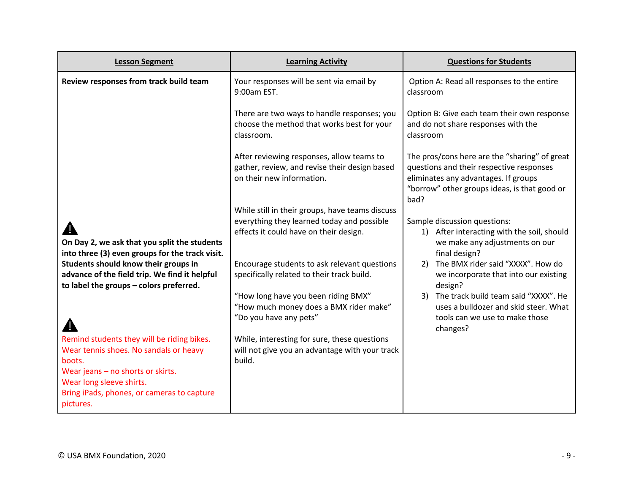| <b>Lesson Segment</b>                                                                                                                                                                                                      | <b>Learning Activity</b>                                                                                                                | <b>Questions for Students</b>                                                                                                                                                             |
|----------------------------------------------------------------------------------------------------------------------------------------------------------------------------------------------------------------------------|-----------------------------------------------------------------------------------------------------------------------------------------|-------------------------------------------------------------------------------------------------------------------------------------------------------------------------------------------|
| Review responses from track build team                                                                                                                                                                                     | Your responses will be sent via email by<br>9:00am EST.                                                                                 | Option A: Read all responses to the entire<br>classroom                                                                                                                                   |
|                                                                                                                                                                                                                            | There are two ways to handle responses; you<br>choose the method that works best for your<br>classroom.                                 | Option B: Give each team their own response<br>and do not share responses with the<br>classroom                                                                                           |
|                                                                                                                                                                                                                            | After reviewing responses, allow teams to<br>gather, review, and revise their design based<br>on their new information.                 | The pros/cons here are the "sharing" of great<br>questions and their respective responses<br>eliminates any advantages. If groups<br>"borrow" other groups ideas, is that good or<br>bad? |
| On Day 2, we ask that you split the students<br>into three (3) even groups for the track visit.                                                                                                                            | While still in their groups, have teams discuss<br>everything they learned today and possible<br>effects it could have on their design. | Sample discussion questions:<br>After interacting with the soil, should<br>1)<br>we make any adjustments on our<br>final design?                                                          |
| Students should know their groups in<br>advance of the field trip. We find it helpful<br>to label the groups - colors preferred.                                                                                           | Encourage students to ask relevant questions<br>specifically related to their track build.                                              | The BMX rider said "XXXX". How do<br>2)<br>we incorporate that into our existing<br>design?                                                                                               |
|                                                                                                                                                                                                                            | "How long have you been riding BMX"<br>"How much money does a BMX rider make"<br>"Do you have any pets"                                 | The track build team said "XXXX". He<br>3)<br>uses a bulldozer and skid steer. What<br>tools can we use to make those<br>changes?                                                         |
| Remind students they will be riding bikes.<br>Wear tennis shoes. No sandals or heavy<br>boots.<br>Wear jeans - no shorts or skirts.<br>Wear long sleeve shirts.<br>Bring iPads, phones, or cameras to capture<br>pictures. | While, interesting for sure, these questions<br>will not give you an advantage with your track<br>build.                                |                                                                                                                                                                                           |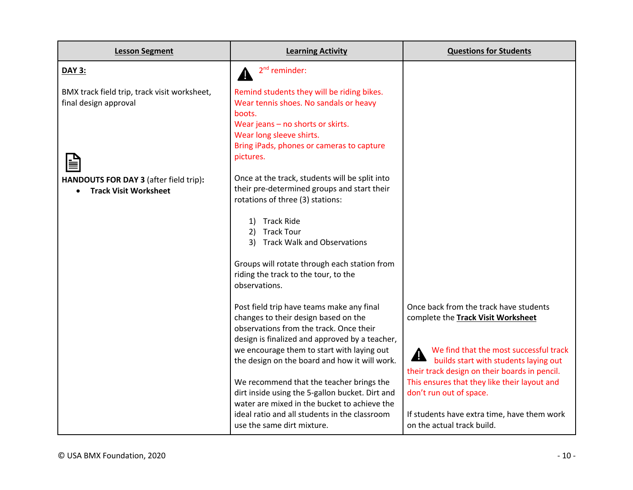| <b>Lesson Segment</b>                                                  | <b>Learning Activity</b>                                                                                                                                                                                                                                                      | <b>Questions for Students</b>                                                                                                                                                                                                  |
|------------------------------------------------------------------------|-------------------------------------------------------------------------------------------------------------------------------------------------------------------------------------------------------------------------------------------------------------------------------|--------------------------------------------------------------------------------------------------------------------------------------------------------------------------------------------------------------------------------|
| <b>DAY 3:</b>                                                          | $2nd$ reminder:                                                                                                                                                                                                                                                               |                                                                                                                                                                                                                                |
| BMX track field trip, track visit worksheet,<br>final design approval  | Remind students they will be riding bikes.<br>Wear tennis shoes. No sandals or heavy<br>boots.<br>Wear jeans - no shorts or skirts.<br>Wear long sleeve shirts.<br>Bring iPads, phones or cameras to capture<br>pictures.                                                     |                                                                                                                                                                                                                                |
| HANDOUTS FOR DAY 3 (after field trip):<br><b>Track Visit Worksheet</b> | Once at the track, students will be split into<br>their pre-determined groups and start their<br>rotations of three (3) stations:<br>1) Track Ride<br>2) Track Tour<br>3) Track Walk and Observations                                                                         |                                                                                                                                                                                                                                |
|                                                                        | Groups will rotate through each station from<br>riding the track to the tour, to the<br>observations.                                                                                                                                                                         |                                                                                                                                                                                                                                |
|                                                                        | Post field trip have teams make any final<br>changes to their design based on the<br>observations from the track. Once their<br>design is finalized and approved by a teacher,<br>we encourage them to start with laying out<br>the design on the board and how it will work. | Once back from the track have students<br>complete the Track Visit Worksheet<br>We find that the most successful track<br><b>Example 1996 We mind that the three discrete</b><br>their track design on their boards in pencil. |
|                                                                        | We recommend that the teacher brings the<br>dirt inside using the 5-gallon bucket. Dirt and<br>water are mixed in the bucket to achieve the<br>ideal ratio and all students in the classroom<br>use the same dirt mixture.                                                    | This ensures that they like their layout and<br>don't run out of space.<br>If students have extra time, have them work<br>on the actual track build.                                                                           |